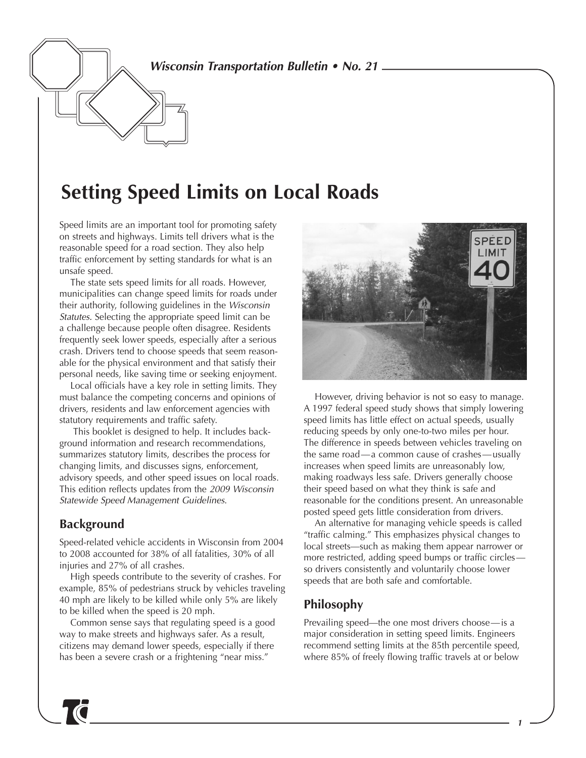*Wisconsin Transportation Bulletin • No. 21*

# **Setting Speed Limits on Local Roads**

Speed limits are an important tool for promoting safety on streets and highways. Limits tell drivers what is the reasonable speed for a road section. They also help traffic enforcement by setting standards for what is an unsafe speed.

The state sets speed limits for all roads. However, municipalities can change speed limits for roads under their authority, following guidelines in the *Wisconsin Statutes.* Selecting the appropriate speed limit can be a challenge because people often disagree. Residents frequently seek lower speeds, especially after a serious crash. Drivers tend to choose speeds that seem reasonable for the physical environment and that satisfy their personal needs, like saving time or seeking enjoyment.

Local officials have a key role in setting limits. They must balance the competing concerns and opinions of drivers, residents and law enforcement agencies with statutory requirements and traffic safety.

This booklet is designed to help. It includes background information and research recommendations, summarizes statutory limits, describes the process for changing limits, and discusses signs, enforcement, advisory speeds, and other speed issues on local roads. This edition reflects updates from the *2009 Wisconsin Statewide Speed Management Guidelines*.

# **Background**

Speed-related vehicle accidents in Wisconsin from 2004 to 2008 accounted for 38% of all fatalities, 30% of all injuries and 27% of all crashes.

High speeds contribute to the severity of crashes. For example, 85% of pedestrians struck by vehicles traveling 40 mph are likely to be killed while only 5% are likely to be killed when the speed is 20 mph.

Common sense says that regulating speed is a good way to make streets and highways safer. As a result, citizens may demand lower speeds, especially if there has been a severe crash or a frightening "near miss."



However, driving behavior is not so easy to manage. A 1997 federal speed study shows that simply lowering speed limits has little effect on actual speeds, usually reducing speeds by only one-to-two miles per hour. The difference in speeds between vehicles traveling on the same road—a common cause of crashes—usually increases when speed limits are unreasonably low, making roadways less safe. Drivers generally choose their speed based on what they think is safe and reasonable for the conditions present. An unreasonable posted speed gets little consideration from drivers.

An alternative for managing vehicle speeds is called "traffic calming." This emphasizes physical changes to local streets—such as making them appear narrower or more restricted, adding speed bumps or traffic circles so drivers consistently and voluntarily choose lower speeds that are both safe and comfortable.

# **Philosophy**

Prevailing speed—the one most drivers choose—is a major consideration in setting speed limits. Engineers recommend setting limits at the 85th percentile speed, where 85% of freely flowing traffic travels at or below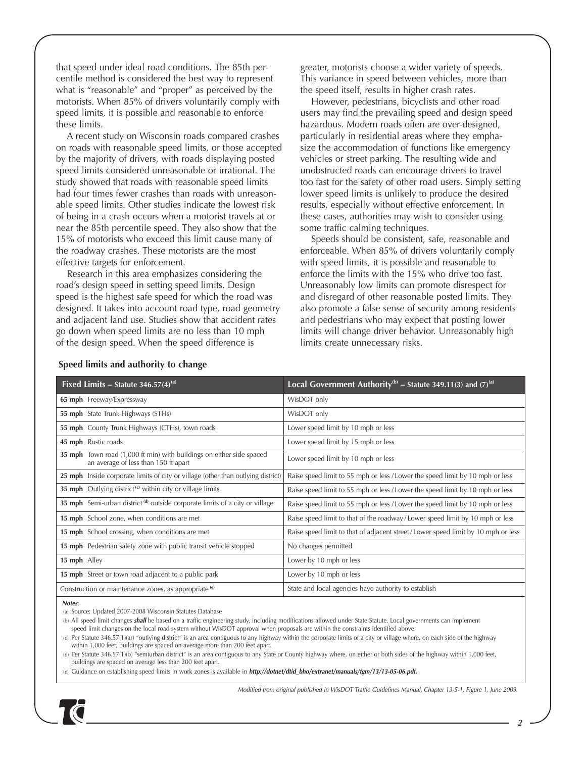that speed under ideal road conditions. The 85th percentile method is considered the best way to represent what is "reasonable" and "proper" as perceived by the motorists. When 85% of drivers voluntarily comply with speed limits, it is possible and reasonable to enforce these limits.

A recent study on Wisconsin roads compared crashes on roads with reasonable speed limits, or those accepted by the majority of drivers, with roads displaying posted speed limits considered unreasonable or irrational. The study showed that roads with reasonable speed limits had four times fewer crashes than roads with unreasonable speed limits. Other studies indicate the lowest risk of being in a crash occurs when a motorist travels at or near the 85th percentile speed. They also show that the 15% of motorists who exceed this limit cause many of the roadway crashes. These motorists are the most effective targets for enforcement.

Research in this area emphasizes considering the road's design speed in setting speed limits. Design speed is the highest safe speed for which the road was designed. It takes into account road type, road geometry and adjacent land use. Studies show that accident rates go down when speed limits are no less than 10 mph of the design speed. When the speed difference is

greater, motorists choose a wider variety of speeds. This variance in speed between vehicles, more than the speed itself, results in higher crash rates.

However, pedestrians, bicyclists and other road users may find the prevailing speed and design speed hazardous. Modern roads often are over-designed, particularly in residential areas where they emphasize the accommodation of functions like emergency vehicles or street parking. The resulting wide and unobstructed roads can encourage drivers to travel too fast for the safety of other road users. Simply setting lower speed limits is unlikely to produce the desired results, especially without effective enforcement. In these cases, authorities may wish to consider using some traffic calming techniques.

Speeds should be consistent, safe, reasonable and enforceable. When 85% of drivers voluntarily comply with speed limits, it is possible and reasonable to enforce the limits with the 15% who drive too fast. Unreasonably low limits can promote disrespect for and disregard of other reasonable posted limits. They also promote a false sense of security among residents and pedestrians who may expect that posting lower limits will change driver behavior. Unreasonably high limits create unnecessary risks.

| Fixed Limits – Statute 346.57(4) <sup>(a)</sup>                                                              | Local Government Authority <sup>(b)</sup> – Statute 349.11(3) and (7) <sup>(a)</sup> |  |
|--------------------------------------------------------------------------------------------------------------|--------------------------------------------------------------------------------------|--|
| 65 mph Freeway/Expressway                                                                                    | WisDOT only                                                                          |  |
| 55 mph State Trunk Highways (STHs)                                                                           | WisDOT only                                                                          |  |
| 55 mph County Trunk Highways (CTHs), town roads                                                              | Lower speed limit by 10 mph or less                                                  |  |
| 45 mph Rustic roads                                                                                          | Lower speed limit by 15 mph or less                                                  |  |
| 35 mph Town road (1,000 ft min) with buildings on either side spaced<br>an average of less than 150 ft apart | Lower speed limit by 10 mph or less                                                  |  |
| 25 mph Inside corporate limits of city or village (other than outlying district)                             | Raise speed limit to 55 mph or less / Lower the speed limit by 10 mph or less        |  |
| 35 mph Outlying district <sup>(c)</sup> within city or village limits                                        | Raise speed limit to 55 mph or less / Lower the speed limit by 10 mph or less        |  |
| 35 mph Semi-urban district <sup>(d)</sup> outside corporate limits of a city or village                      | Raise speed limit to 55 mph or less / Lower the speed limit by 10 mph or less        |  |
| 15 mph School zone, when conditions are met                                                                  | Raise speed limit to that of the roadway/Lower speed limit by 10 mph or less         |  |
| <b>15 mph</b> School crossing, when conditions are met                                                       | Raise speed limit to that of adjacent street/Lower speed limit by 10 mph or less     |  |
| <b>15 mph</b> Pedestrian safety zone with public transit vehicle stopped                                     | No changes permitted                                                                 |  |
| 15 mph Alley                                                                                                 | Lower by 10 mph or less                                                              |  |
| 15 mph Street or town road adjacent to a public park                                                         | Lower by 10 mph or less                                                              |  |
| Construction or maintenance zones, as appropriate <sup>(e)</sup>                                             | State and local agencies have authority to establish                                 |  |

#### **Speed limits and authority to change**

*Notes*:

(a) Source: Updated 2007-2008 Wisconsin Statutes Database

(b) All speed limit changes *shall* be based on a traffic engineering study, including modifications allowed under State Statute. Local governments can implement speed limit changes on the local road system without WisDOT approval when proposals are within the constraints identified above.

(c) Per Statute 346.57(1)(ar) "outlying district" is an area contiguous to any highway within the corporate limits of a city or village where, on each side of the highway within 1,000 feet, buildings are spaced on average more than 200 feet apart.

(d) Per Statute 346.57(1)(b) "semiurban district" is an area contiguous to any State or County highway where, on either or both sides of the highway within 1,000 feet, buildings are spaced on average less than 200 feet apart.

(e) Guidance on establishing speed limits in work zones is available in *http://dotnet/dtid\_bho/extranet/manuals/tgm/13/13-05-06.pdf.*



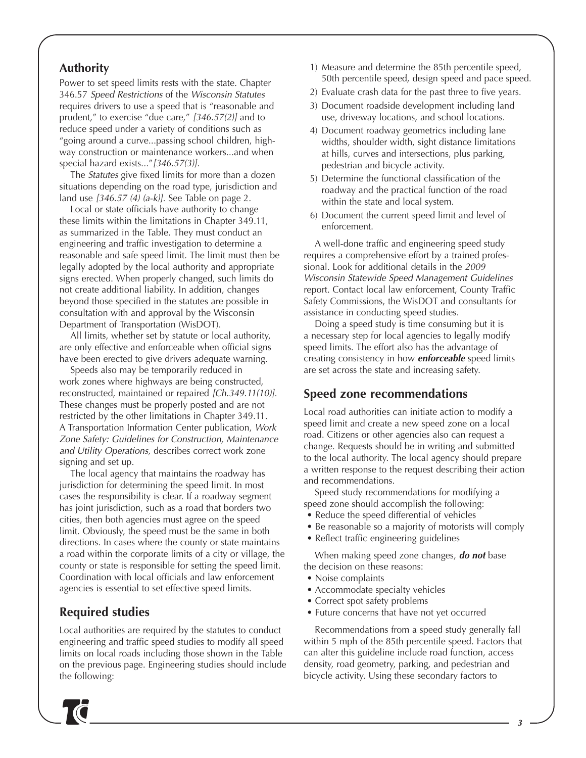# **Authority**

Power to set speed limits rests with the state. Chapter 346.57 *Speed Restrictions* of the *Wisconsin Statutes* requires drivers to use a speed that is "reasonable and prudent," to exercise "due care," *[346.57(2)]* and to reduce speed under a variety of conditions such as "going around a curve...passing school children, highway construction or maintenance workers...and when special hazard exists..."*[346.57(3)]*.

The *Statutes* give fixed limits for more than a dozen situations depending on the road type, jurisdiction and land use *[346.57 (4) (a-k)]*. See Table on page 2.

Local or state officials have authority to change these limits within the limitations in Chapter 349.11, as summarized in the Table. They must conduct an engineering and traffic investigation to determine a reasonable and safe speed limit. The limit must then be legally adopted by the local authority and appropriate signs erected. When properly changed, such limits do not create additional liability. In addition, changes beyond those specified in the statutes are possible in consultation with and approval by the Wisconsin Department of Transportation (WisDOT).

All limits, whether set by statute or local authority, are only effective and enforceable when official signs have been erected to give drivers adequate warning.

Speeds also may be temporarily reduced in work zones where highways are being constructed, reconstructed, maintained or repaired *[Ch.349.11(10)]*. These changes must be properly posted and are not restricted by the other limitations in Chapter 349.11. A Transportation Information Center publication, *Work Zone Safety: Guidelines for Construction, Maintenance and Utility Operations,* describes correct work zone signing and set up.

The local agency that maintains the roadway has jurisdiction for determining the speed limit. In most cases the responsibility is clear. If a roadway segment has joint jurisdiction, such as a road that borders two cities, then both agencies must agree on the speed limit. Obviously, the speed must be the same in both directions. In cases where the county or state maintains a road within the corporate limits of a city or village, the county or state is responsible for setting the speed limit. Coordination with local officials and law enforcement agencies is essential to set effective speed limits.

# **Required studies**

Local authorities are required by the statutes to conduct engineering and traffic speed studies to modify all speed limits on local roads including those shown in the Table on the previous page. Engineering studies should include the following:

- 1) Measure and determine the 85th percentile speed, 50th percentile speed, design speed and pace speed.
- 2) Evaluate crash data for the past three to five years.
- 3) Document roadside development including land use, driveway locations, and school locations.
- 4) Document roadway geometrics including lane widths, shoulder width, sight distance limitations at hills, curves and intersections, plus parking, pedestrian and bicycle activity.
- 5) Determine the functional classification of the roadway and the practical function of the road within the state and local system.
- 6) Document the current speed limit and level of enforcement.

A well-done traffic and engineering speed study requires a comprehensive effort by a trained professional. Look for additional details in the *2009 Wisconsin Statewide Speed Management Guidelines* report. Contact local law enforcement, County Traffic Safety Commissions, the WisDOT and consultants for assistance in conducting speed studies.

Doing a speed study is time consuming but it is a necessary step for local agencies to legally modify speed limits. The effort also has the advantage of creating consistency in how *enforceable* speed limits are set across the state and increasing safety.

# **Speed zone recommendations**

Local road authorities can initiate action to modify a speed limit and create a new speed zone on a local road. Citizens or other agencies also can request a change. Requests should be in writing and submitted to the local authority. The local agency should prepare a written response to the request describing their action and recommendations.

Speed study recommendations for modifying a speed zone should accomplish the following:

- Reduce the speed differential of vehicles
- Be reasonable so a majority of motorists will comply
- Reflect traffic engineering guidelines

When making speed zone changes, *do not* base the decision on these reasons:

- Noise complaints
- Accommodate specialty vehicles
- Correct spot safety problems
- Future concerns that have not yet occurred

Recommendations from a speed study generally fall within 5 mph of the 85th percentile speed. Factors that can alter this guideline include road function, access density, road geometry, parking, and pedestrian and bicycle activity. Using these secondary factors to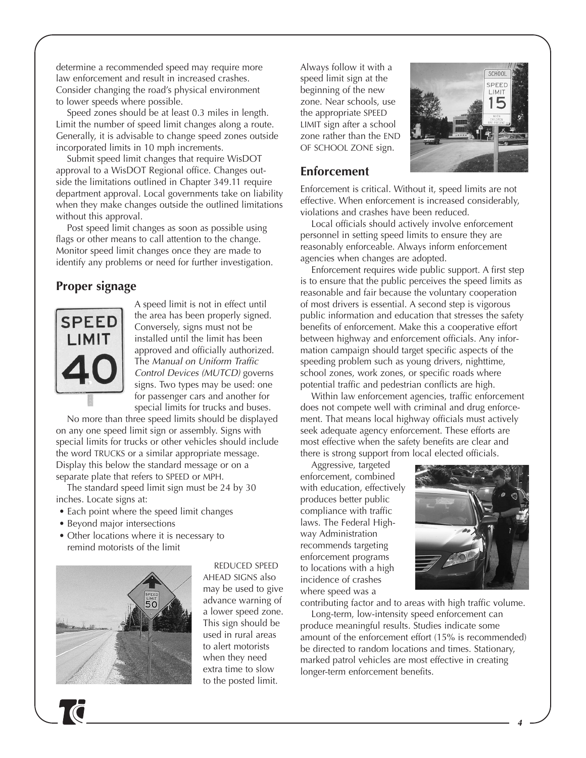determine a recommended speed may require more law enforcement and result in increased crashes. Consider changing the road's physical environment to lower speeds where possible.

Speed zones should be at least 0.3 miles in length. Limit the number of speed limit changes along a route. Generally, it is advisable to change speed zones outside incorporated limits in 10 mph increments.

Submit speed limit changes that require WisDOT approval to a WisDOT Regional office. Changes outside the limitations outlined in Chapter 349.11 require department approval. Local governments take on liability when they make changes outside the outlined limitations without this approval.

Post speed limit changes as soon as possible using flags or other means to call attention to the change. Monitor speed limit changes once they are made to identify any problems or need for further investigation.

# **Proper signage**



A speed limit is not in effect until the area has been properly signed. Conversely, signs must not be installed until the limit has been approved and officially authorized. The *Manual on Uniform Traffic Control Devices (MUTCD)* governs signs. Two types may be used: one for passenger cars and another for special limits for trucks and buses.

No more than three speed limits should be displayed on any one speed limit sign or assembly. Signs with special limits for trucks or other vehicles should include the word TRUCKS or a similar appropriate message. Display this below the standard message or on a separate plate that refers to SPEED or MPH.

The standard speed limit sign must be 24 by 30 inches. Locate signs at:

- Each point where the speed limit changes
- Beyond major intersections
- Other locations where it is necessary to remind motorists of the limit



REDUCED SPEED AHEAD SIGNS also may be used to give advance warning of a lower speed zone. This sign should be used in rural areas to alert motorists when they need extra time to slow to the posted limit.

Always follow it with a speed limit sign at the beginning of the new zone. Near schools, use the appropriate SPEED LIMIT sign after a school zone rather than the END OF SCHOOL ZONE sign.



#### **Enforcement**

Enforcement is critical. Without it, speed limits are not effective. When enforcement is increased considerably, violations and crashes have been reduced.

Local officials should actively involve enforcement personnel in setting speed limits to ensure they are reasonably enforceable. Always inform enforcement agencies when changes are adopted.

Enforcement requires wide public support. A first step is to ensure that the public perceives the speed limits as reasonable and fair because the voluntary cooperation of most drivers is essential. A second step is vigorous public information and education that stresses the safety benefits of enforcement. Make this a cooperative effort between highway and enforcement officials. Any information campaign should target specific aspects of the speeding problem such as young drivers, nighttime, school zones, work zones, or specific roads where potential traffic and pedestrian conflicts are high.

Within law enforcement agencies, traffic enforcement does not compete well with criminal and drug enforcement. That means local highway officials must actively seek adequate agency enforcement. These efforts are most effective when the safety benefits are clear and there is strong support from local elected officials.

Aggressive, targeted enforcement, combined with education, effectively produces better public compliance with traffic laws. The Federal Highway Administration recommends targeting enforcement programs to locations with a high incidence of crashes where speed was a



contributing factor and to areas with high traffic volume.

Long-term, low-intensity speed enforcement can produce meaningful results. Studies indicate some amount of the enforcement effort (15% is recommended) be directed to random locations and times. Stationary, marked patrol vehicles are most effective in creating longer-term enforcement benefits.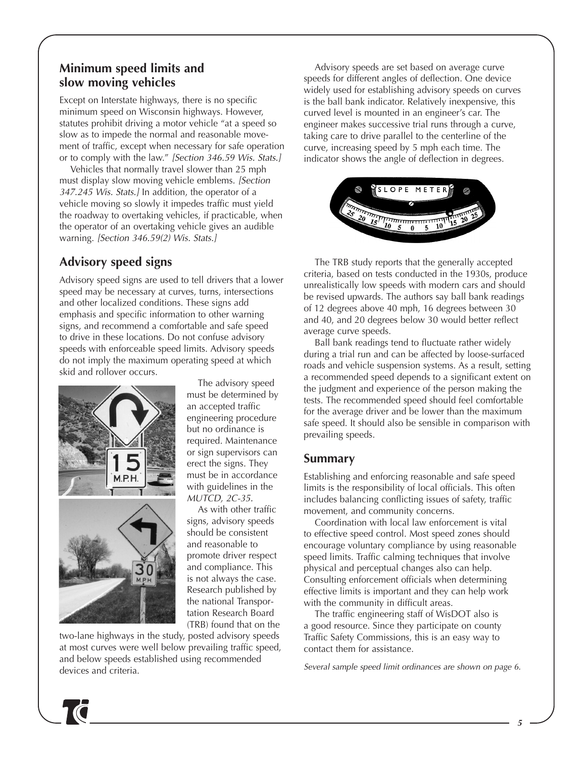# **Minimum speed limits and slow moving vehicles**

Except on Interstate highways, there is no specific minimum speed on Wisconsin highways. However, statutes prohibit driving a motor vehicle "at a speed so slow as to impede the normal and reasonable movement of traffic, except when necessary for safe operation or to comply with the law." *[Section 346.59 Wis. Stats.]*

Vehicles that normally travel slower than 25 mph must display slow moving vehicle emblems. *[Section 347.245 Wis. Stats.]* In addition, the operator of a vehicle moving so slowly it impedes traffic must yield the roadway to overtaking vehicles, if practicable, when the operator of an overtaking vehicle gives an audible warning. *[Section 346.59(2) Wis. Stats.]*

# **Advisory speed signs**

Advisory speed signs are used to tell drivers that a lower speed may be necessary at curves, turns, intersections and other localized conditions. These signs add emphasis and specific information to other warning signs, and recommend a comfortable and safe speed to drive in these locations. Do not confuse advisory speeds with enforceable speed limits. Advisory speeds do not imply the maximum operating speed at which skid and rollover occurs.



The advisory speed must be determined by an accepted traffic engineering procedure but no ordinance is required. Maintenance or sign supervisors can erect the signs. They must be in accordance with guidelines in the *MUTCD, 2C-35.*

As with other traffic signs, advisory speeds should be consistent and reasonable to promote driver respect and compliance. This is not always the case. Research published by the national Transportation Research Board (TRB) found that on the

two-lane highways in the study, posted advisory speeds at most curves were well below prevailing traffic speed, and below speeds established using recommended devices and criteria.

Advisory speeds are set based on average curve speeds for different angles of deflection. One device widely used for establishing advisory speeds on curves is the ball bank indicator. Relatively inexpensive, this curved level is mounted in an engineer's car. The engineer makes successive trial runs through a curve, taking care to drive parallel to the centerline of the curve, increasing speed by 5 mph each time. The indicator shows the angle of deflection in degrees.



The TRB study reports that the generally accepted criteria, based on tests conducted in the 1930s, produce unrealistically low speeds with modern cars and should be revised upwards. The authors say ball bank readings of 12 degrees above 40 mph, 16 degrees between 30 and 40, and 20 degrees below 30 would better reflect average curve speeds.

Ball bank readings tend to fluctuate rather widely during a trial run and can be affected by loose-surfaced roads and vehicle suspension systems. As a result, setting a recommended speed depends to a significant extent on the judgment and experience of the person making the tests. The recommended speed should feel comfortable for the average driver and be lower than the maximum safe speed. It should also be sensible in comparison with prevailing speeds.

#### **Summary**

Establishing and enforcing reasonable and safe speed limits is the responsibility of local officials. This often includes balancing conflicting issues of safety, traffic movement, and community concerns.

Coordination with local law enforcement is vital to effective speed control. Most speed zones should encourage voluntary compliance by using reasonable speed limits. Traffic calming techniques that involve physical and perceptual changes also can help. Consulting enforcement officials when determining effective limits is important and they can help work with the community in difficult areas.

The traffic engineering staff of WisDOT also is a good resource. Since they participate on county Traffic Safety Commissions, this is an easy way to contact them for assistance.

*Several sample speed limit ordinances are shown on page 6.*